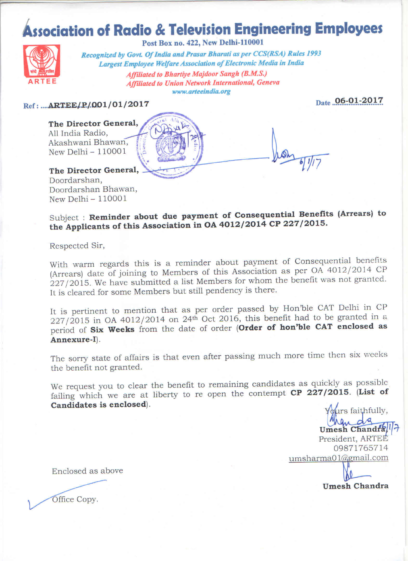## **Association of Radio & Television Engineering Employees**



Post Box no. 422, New Delhi-110001

Recognized by Govt. Of India and Prasar Bharati as per CCS(RSA) Rules 1993 Largest Employee Welfare Association of Electronic Media in India **Affiliated to Bhartiye Majdoor Sangh (B.M.S.) Affiliated to Union Network International, Geneva** www.arteeindia.org

Date 06-01-2017

#### Ref: .... ARTEE/P/001/01/2017

The Director General, All India Radio, Akashwani Bhawan, New Delhi  $-110001$ 

### The Director General,

Doordarshan, Doordarshan Bhawan, New Delhi  $-110001$ 

Subject : Reminder about due payment of Consequential Benefits (Arrears) to the Applicants of this Association in OA 4012/2014 CP 227/2015.

Respected Sir,

With warm regards this is a reminder about payment of Consequential benefits (Arrears) date of joining to Members of this Association as per OA 4012/2014 CP 227/2015. We have submitted a list Members for whom the benefit was not granted. It is cleared for some Members but still pendency is there.

It is pertinent to mention that as per order passed by Hon'ble CAT Delhi in CP  $227/2015$  in OA 4012/2014 on 24<sup>th</sup> Oct 2016, this benefit had to be granted in a period of Six Weeks from the date of order (Order of hon'ble CAT enclosed as Annexure-I).

The sorry state of affairs is that even after passing much more time then six weeks the benefit not granted.

We request you to clear the benefit to remaining candidates as quickly as possible failing which we are at liberty to re open the contempt CP 227/2015. (List of Candidates is enclosed).

urs faithfully, Umesh Chandra President, ARTEE 09871765714 umsharma01@gmail.com **Umesh Chandra** 

Enclosed as above

Office Copy.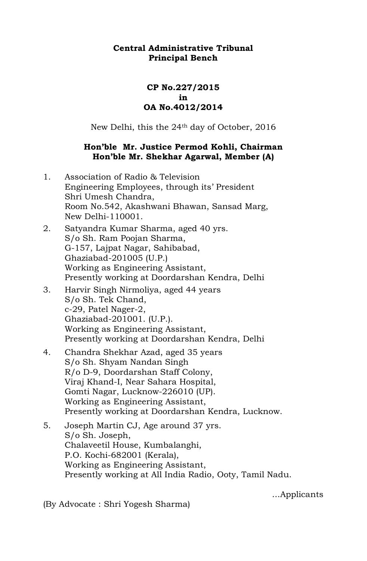## **Central Administrative Tribunal Principal Bench**

## **CP No.227/2015 in OA No.4012/2014**

New Delhi, this the 24<sup>th</sup> day of October, 2016

## **Hon'ble Mr. Justice Permod Kohli, Chairman Hon'ble Mr. Shekhar Agarwal, Member (A)**

- 1. Association of Radio & Television Engineering Employees, through its' President Shri Umesh Chandra, Room No.542, Akashwani Bhawan, Sansad Marg, New Delhi-110001.
- 2. Satyandra Kumar Sharma, aged 40 yrs. S/o Sh. Ram Poojan Sharma, G-157, Lajpat Nagar, Sahibabad, Ghaziabad-201005 (U.P.) Working as Engineering Assistant, Presently working at Doordarshan Kendra, Delhi
- 3. Harvir Singh Nirmoliya, aged 44 years S/o Sh. Tek Chand, c-29, Patel Nager-2, Ghaziabad-201001. (U.P.). Working as Engineering Assistant, Presently working at Doordarshan Kendra, Delhi
- 4. Chandra Shekhar Azad, aged 35 years S/o Sh. Shyam Nandan Singh R/o D-9, Doordarshan Staff Colony, Viraj Khand-I, Near Sahara Hospital, Gomti Nagar, Lucknow-226010 (UP). Working as Engineering Assistant, Presently working at Doordarshan Kendra, Lucknow.
- 5. Joseph Martin CJ, Age around 37 yrs. S/o Sh. Joseph, Chalaveetil House, Kumbalanghi, P.O. Kochi-682001 (Kerala), Working as Engineering Assistant, Presently working at All India Radio, Ooty, Tamil Nadu.

...Applicants

(By Advocate : Shri Yogesh Sharma)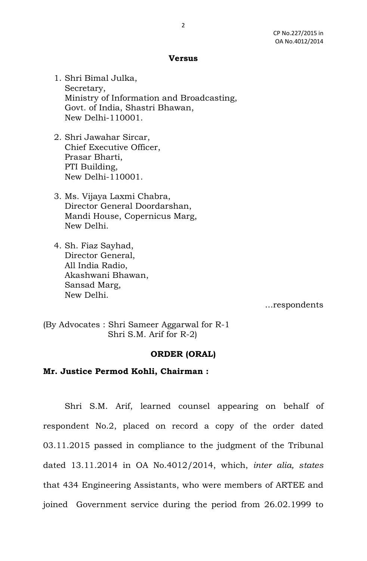#### **Versus**

1. Shri Bimal Julka, Secretary, Ministry of Information and Broadcasting, Govt. of India, Shastri Bhawan, New Delhi-110001.

- 2. Shri Jawahar Sircar, Chief Executive Officer, Prasar Bharti, PTI Building, New Delhi-110001.
- 3. Ms. Vijaya Laxmi Chabra, Director General Doordarshan, Mandi House, Copernicus Marg, New Delhi.
- 4. Sh. Fiaz Sayhad, Director General, All India Radio, Akashwani Bhawan, Sansad Marg, New Delhi.

...respondents

(By Advocates : Shri Sameer Aggarwal for R-1 Shri S.M. Arif for R-2)

## **ORDER (ORAL)**

#### **Mr. Justice Permod Kohli, Chairman :**

 Shri S.M. Arif, learned counsel appearing on behalf of respondent No.2, placed on record a copy of the order dated 03.11.2015 passed in compliance to the judgment of the Tribunal dated 13.11.2014 in OA No.4012/2014, which, *inter alia, states*  that 434 Engineering Assistants, who were members of ARTEE and joined Government service during the period from 26.02.1999 to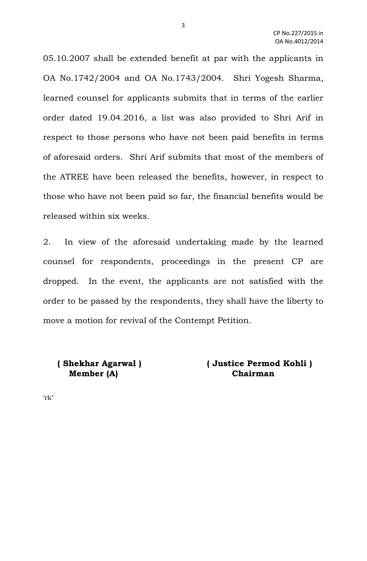05.10.2007 shall be extended benefit at par with the applicants in OA No.1742/2004 and OA No.1743/2004. Shri Yogesh Sharma, learned counsel for applicants submits that in terms of the earlier order dated 19.04.2016, a list was also provided to Shri Arif in respect to those persons who have not been paid benefits in terms of aforesaid orders. Shri Arif submits that most of the members of the ATREE have been released the benefits, however, in respect to those who have not been paid so far, the financial benefits would be released within six weeks.

2. In view of the aforesaid undertaking made by the learned counsel for respondents, proceedings in the present CP are dropped. In the event, the applicants are not satisfied with the order to be passed by the respondents, they shall have the liberty to move a motion for revival of the Contempt Petition.

# **Member (A) Chairman**

 **( Shekhar Agarwal ) ( Justice Permod Kohli )** 

'rk'